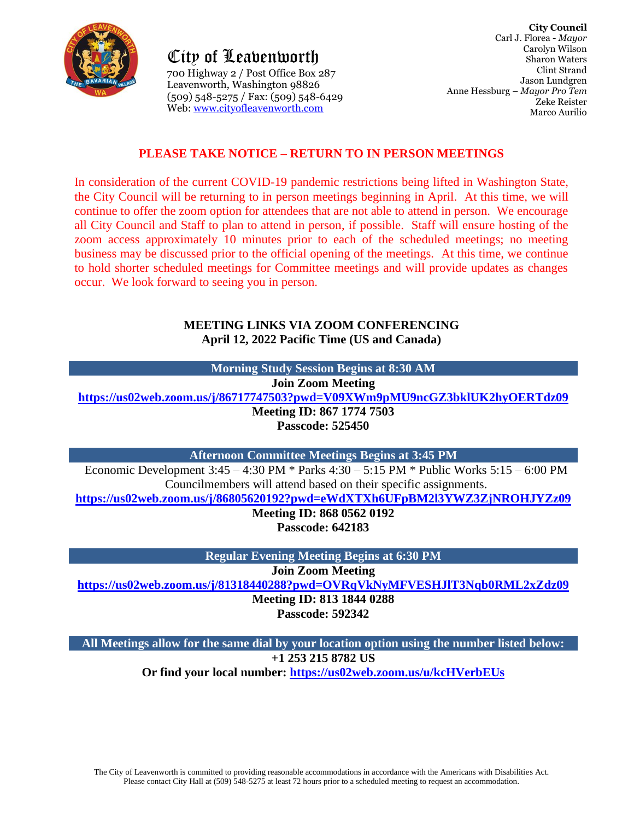

City of Leavenworth City of Leavenworth700 Highway 2 / Post Office Box 287 Leavenworth, Washington 98826 Office Box Leavenworth, Washington 98826 (509) 548-5275 / Fax: (509) 548-6429 Web: [www.cityofleavenworth.com](http://www.cityofleavenworth.com/)

# **PLEASE TAKE NOTICE – RETURN TO IN PERSON MEETINGS**

In consideration of the current COVID-19 pandemic restrictions being lifted in Washington State, the City Council will be returning to in person meetings beginning in April. At this time, we will continue to offer the zoom option for attendees that are not able to attend in person. We encourage all City Council and Staff to plan to attend in person, if possible. Staff will ensure hosting of the zoom access approximately 10 minutes prior to each of the scheduled meetings; no meeting business may be discussed prior to the official opening of the meetings. At this time, we continue to hold shorter scheduled meetings for Committee meetings and will provide updates as changes occur. We look forward to seeing you in person.

### **MEETING LINKS VIA ZOOM CONFERENCING April 12, 2022 Pacific Time (US and Canada)**

| Morning Study Session Begins at 8:30 AM                                    |  |  |  |
|----------------------------------------------------------------------------|--|--|--|
| <b>Join Zoom Meeting</b>                                                   |  |  |  |
| https://us02web.zoom.us/j/86717747503?pwd=V09XWm9pMU9ncGZ3bklUK2hyOERTdz09 |  |  |  |
| Meeting ID: 867 1774 7503                                                  |  |  |  |
| <b>Passcode: 525450</b>                                                    |  |  |  |

**Afternoon Committee Meetings Begins at 3:45 PM**

Economic Development 3:45 – 4:30 PM \* Parks 4:30 – 5:15 PM \* Public Works 5:15 – 6:00 PM Councilmembers will attend based on their specific assignments.

**<https://us02web.zoom.us/j/86805620192?pwd=eWdXTXh6UFpBM2l3YWZ3ZjNROHJYZz09>**

**Meeting ID: 868 0562 0192 Passcode: 642183**

**Regular Evening Meeting Begins at 6:30 PM**

**Join Zoom Meeting**

**<https://us02web.zoom.us/j/81318440288?pwd=OVRqVkNyMFVESHJlT3Nqb0RML2xZdz09> Meeting ID: 813 1844 0288**

**Passcode: 592342**

**All Meetings allow for the same dial by your location option using the number listed below: +1 253 215 8782 US Or find your local number: <https://us02web.zoom.us/u/kcHVerbEUs>**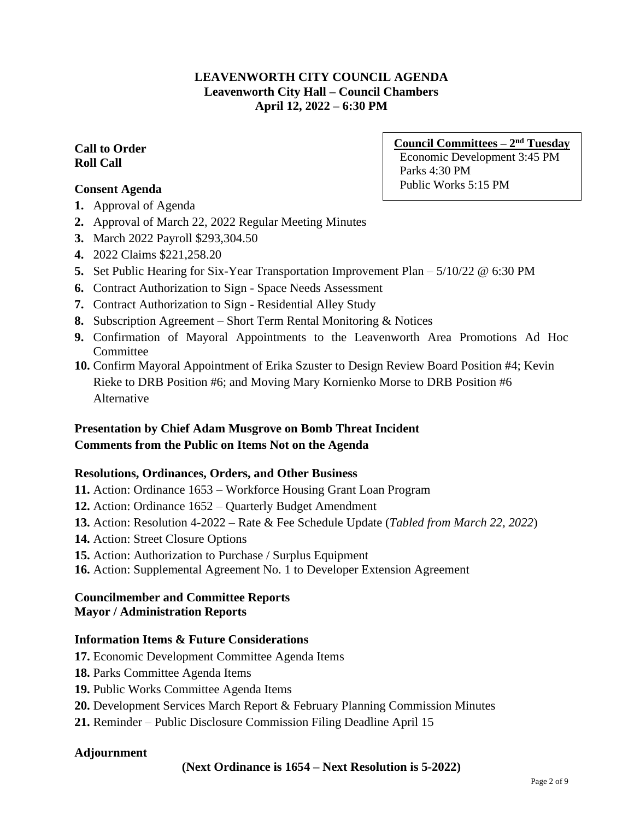# **LEAVENWORTH CITY COUNCIL AGENDA Leavenworth City Hall – Council Chambers April 12, 2022 – 6:30 PM**

### **Call to Order Roll Call**

## **Consent Agenda**

- **1.** Approval of Agenda
- **2.** Approval of March 22, 2022 Regular Meeting Minutes
- **3.** March 2022 Payroll \$293,304.50
- **4.** 2022 Claims \$221,258.20
- **5.** Set Public Hearing for Six-Year Transportation Improvement Plan 5/10/22 @ 6:30 PM
- **6.** Contract Authorization to Sign Space Needs Assessment
- **7.** Contract Authorization to Sign Residential Alley Study
- **8.** Subscription Agreement Short Term Rental Monitoring & Notices
- **9.** Confirmation of Mayoral Appointments to the Leavenworth Area Promotions Ad Hoc **Committee**
- **10.** Confirm Mayoral Appointment of Erika Szuster to Design Review Board Position #4; Kevin Rieke to DRB Position #6; and Moving Mary Kornienko Morse to DRB Position #6 Alternative

# **Presentation by Chief Adam Musgrove on Bomb Threat Incident Comments from the Public on Items Not on the Agenda**

#### **Resolutions, Ordinances, Orders, and Other Business**

- **11.** Action: Ordinance 1653 Workforce Housing Grant Loan Program
- **12.** Action: Ordinance 1652 Quarterly Budget Amendment
- **13.** Action: Resolution 4-2022 Rate & Fee Schedule Update (*Tabled from March 22, 2022*)
- **14.** Action: Street Closure Options
- **15.** Action: Authorization to Purchase / Surplus Equipment
- **16.** Action: Supplemental Agreement No. 1 to Developer Extension Agreement

#### **Councilmember and Committee Reports Mayor / Administration Reports**

### **Information Items & Future Considerations**

- **17.** Economic Development Committee Agenda Items
- **18.** Parks Committee Agenda Items
- **19.** Public Works Committee Agenda Items
- **20.** Development Services March Report & February Planning Commission Minutes
- **21.** Reminder Public Disclosure Commission Filing Deadline April 15

#### **Adjournment**

#### **(Next Ordinance is 1654 – Next Resolution is 5-2022)**

**Council Committees – 2 nd Tuesday** Economic Development 3:45 PM Parks 4:30 PM Public Works 5:15 PM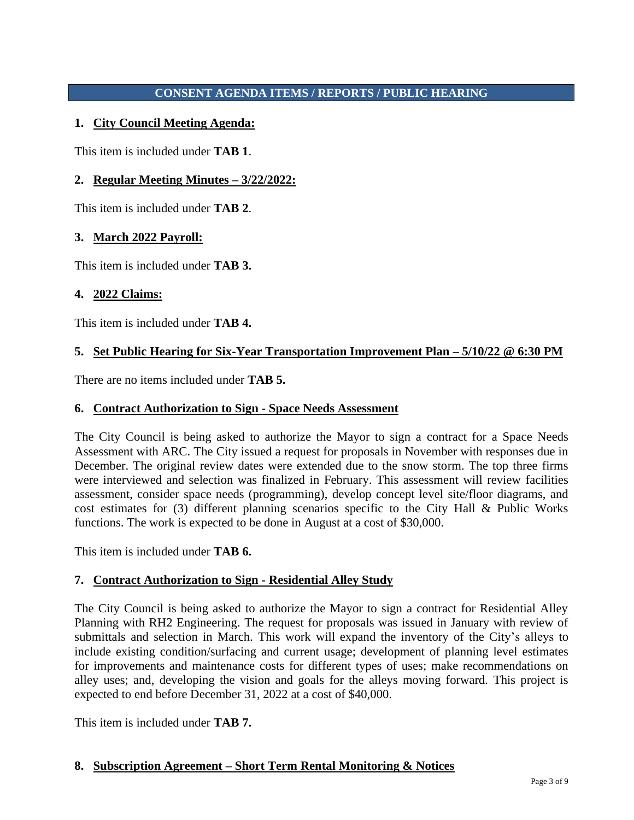# **CONSENT AGENDA ITEMS / REPORTS / PUBLIC HEARING**

# **1. City Council Meeting Agenda:**

This item is included under **TAB 1**.

## **2. Regular Meeting Minutes – 3/22/2022:**

This item is included under **TAB 2**.

### **3. March 2022 Payroll:**

This item is included under **TAB 3.**

### **4. 2022 Claims:**

This item is included under **TAB 4.**

#### **5. Set Public Hearing for Six-Year Transportation Improvement Plan – 5/10/22 @ 6:30 PM**

There are no items included under **TAB 5.**

### **6. Contract Authorization to Sign - Space Needs Assessment**

The City Council is being asked to authorize the Mayor to sign a contract for a Space Needs Assessment with ARC. The City issued a request for proposals in November with responses due in December. The original review dates were extended due to the snow storm. The top three firms were interviewed and selection was finalized in February. This assessment will review facilities assessment, consider space needs (programming), develop concept level site/floor diagrams, and cost estimates for (3) different planning scenarios specific to the City Hall & Public Works functions. The work is expected to be done in August at a cost of \$30,000.

This item is included under **TAB 6.**

#### **7. Contract Authorization to Sign - Residential Alley Study**

The City Council is being asked to authorize the Mayor to sign a contract for Residential Alley Planning with RH2 Engineering. The request for proposals was issued in January with review of submittals and selection in March. This work will expand the inventory of the City's alleys to include existing condition/surfacing and current usage; development of planning level estimates for improvements and maintenance costs for different types of uses; make recommendations on alley uses; and, developing the vision and goals for the alleys moving forward. This project is expected to end before December 31, 2022 at a cost of \$40,000.

This item is included under **TAB 7.**

#### **8. Subscription Agreement – Short Term Rental Monitoring & Notices**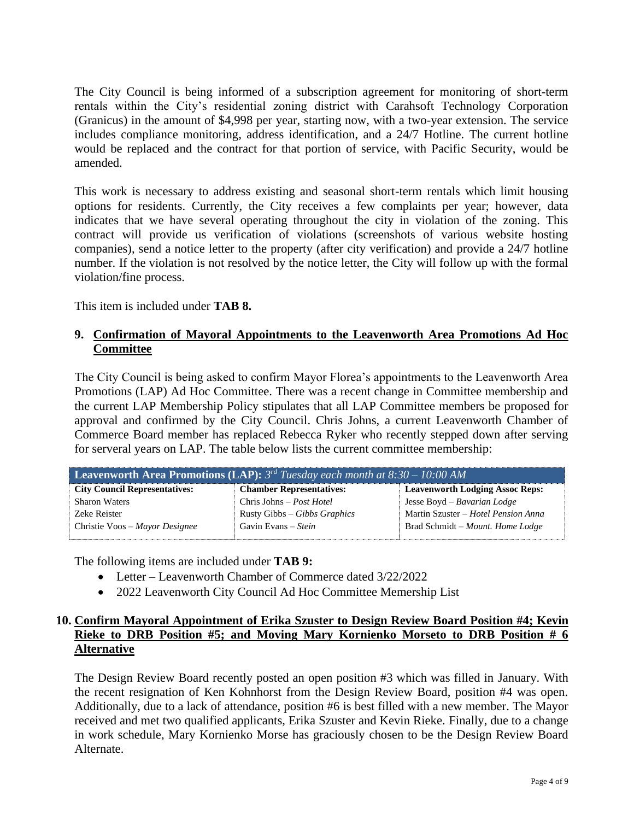The City Council is being informed of a subscription agreement for monitoring of short-term rentals within the City's residential zoning district with Carahsoft Technology Corporation (Granicus) in the amount of \$4,998 per year, starting now, with a two-year extension. The service includes compliance monitoring, address identification, and a 24/7 Hotline. The current hotline would be replaced and the contract for that portion of service, with Pacific Security, would be amended.

This work is necessary to address existing and seasonal short-term rentals which limit housing options for residents. Currently, the City receives a few complaints per year; however, data indicates that we have several operating throughout the city in violation of the zoning. This contract will provide us verification of violations (screenshots of various website hosting companies), send a notice letter to the property (after city verification) and provide a 24/7 hotline number. If the violation is not resolved by the notice letter, the City will follow up with the formal violation/fine process.

This item is included under **TAB 8.**

### **9. Confirmation of Mayoral Appointments to the Leavenworth Area Promotions Ad Hoc Committee**

The City Council is being asked to confirm Mayor Florea's appointments to the Leavenworth Area Promotions (LAP) Ad Hoc Committee. There was a recent change in Committee membership and the current LAP Membership Policy stipulates that all LAP Committee members be proposed for approval and confirmed by the City Council. Chris Johns, a current Leavenworth Chamber of Commerce Board member has replaced Rebecca Ryker who recently stepped down after serving for serveral years on LAP. The table below lists the current committee membership:

| <b>Leavenworth Area Promotions (LAP):</b> $3^{rd}$ Tuesday each month at $8:30-10:00$ AM |                                 |                                        |  |
|------------------------------------------------------------------------------------------|---------------------------------|----------------------------------------|--|
| <b>City Council Representatives:</b>                                                     | <b>Chamber Representatives:</b> | <b>Leavenworth Lodging Assoc Reps:</b> |  |
| <b>Sharon Waters</b>                                                                     | Chris Johns – Post Hotel        | Jesse Boyd – Bavarian Lodge            |  |
| Zeke Reister                                                                             | Rusty Gibbs – Gibbs Graphics    | Martin Szuster – Hotel Pension Anna    |  |
| Christie Voos – Mayor Designee                                                           | Gavin Evans – Stein             | Brad Schmidt - Mount. Home Lodge       |  |

The following items are included under **TAB 9:**

- Letter Leavenworth Chamber of Commerce dated 3/22/2022
- 2022 Leavenworth City Council Ad Hoc Committee Memership List

## **10. Confirm Mayoral Appointment of Erika Szuster to Design Review Board Position #4; Kevin Rieke to DRB Position #5; and Moving Mary Kornienko Morseto to DRB Position # 6 Alternative**

The Design Review Board recently posted an open position #3 which was filled in January. With the recent resignation of Ken Kohnhorst from the Design Review Board, position #4 was open. Additionally, due to a lack of attendance, position #6 is best filled with a new member. The Mayor received and met two qualified applicants, Erika Szuster and Kevin Rieke. Finally, due to a change in work schedule, Mary Kornienko Morse has graciously chosen to be the Design Review Board Alternate.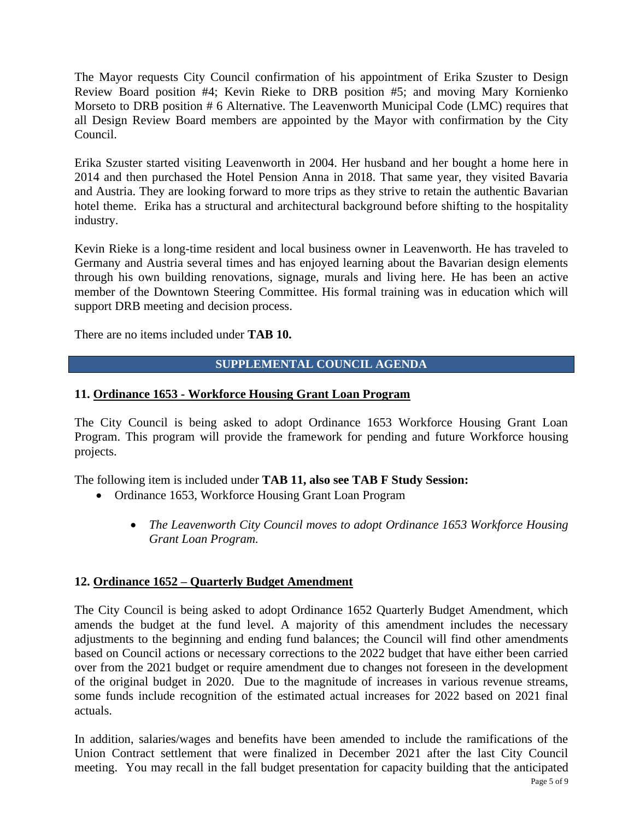The Mayor requests City Council confirmation of his appointment of Erika Szuster to Design Review Board position #4; Kevin Rieke to DRB position #5; and moving Mary Kornienko Morseto to DRB position # 6 Alternative. The Leavenworth Municipal Code (LMC) requires that all Design Review Board members are appointed by the Mayor with confirmation by the City Council.

Erika Szuster started visiting Leavenworth in 2004. Her husband and her bought a home here in 2014 and then purchased the Hotel Pension Anna in 2018. That same year, they visited Bavaria and Austria. They are looking forward to more trips as they strive to retain the authentic Bavarian hotel theme. Erika has a structural and architectural background before shifting to the hospitality industry.

Kevin Rieke is a long-time resident and local business owner in Leavenworth. He has traveled to Germany and Austria several times and has enjoyed learning about the Bavarian design elements through his own building renovations, signage, murals and living here. He has been an active member of the Downtown Steering Committee. His formal training was in education which will support DRB meeting and decision process.

There are no items included under **TAB 10.**

#### **SUPPLEMENTAL COUNCIL AGENDA**

#### **11. Ordinance 1653 - Workforce Housing Grant Loan Program**

The City Council is being asked to adopt Ordinance 1653 Workforce Housing Grant Loan Program. This program will provide the framework for pending and future Workforce housing projects.

The following item is included under **TAB 11, also see TAB F Study Session:**

- Ordinance 1653, Workforce Housing Grant Loan Program
	- *The Leavenworth City Council moves to adopt Ordinance 1653 Workforce Housing Grant Loan Program.*

#### **12. Ordinance 1652 – Quarterly Budget Amendment**

The City Council is being asked to adopt Ordinance 1652 Quarterly Budget Amendment, which amends the budget at the fund level. A majority of this amendment includes the necessary adjustments to the beginning and ending fund balances; the Council will find other amendments based on Council actions or necessary corrections to the 2022 budget that have either been carried over from the 2021 budget or require amendment due to changes not foreseen in the development of the original budget in 2020. Due to the magnitude of increases in various revenue streams, some funds include recognition of the estimated actual increases for 2022 based on 2021 final actuals.

In addition, salaries/wages and benefits have been amended to include the ramifications of the Union Contract settlement that were finalized in December 2021 after the last City Council meeting. You may recall in the fall budget presentation for capacity building that the anticipated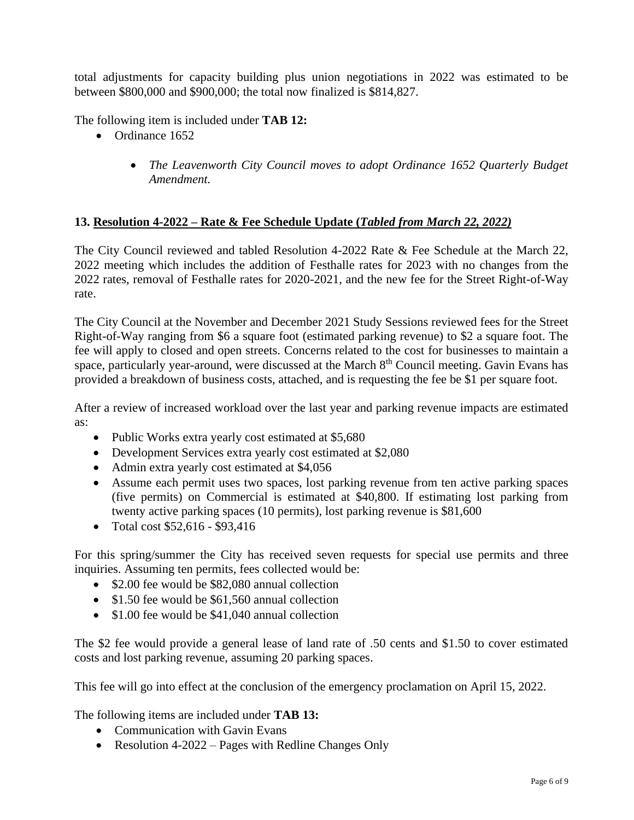total adjustments for capacity building plus union negotiations in 2022 was estimated to be between \$800,000 and \$900,000; the total now finalized is \$814,827.

The following item is included under **TAB 12:**

- Ordinance 1652
	- *The Leavenworth City Council moves to adopt Ordinance 1652 Quarterly Budget Amendment.*

### **13. Resolution 4-2022 – Rate & Fee Schedule Update (***Tabled from March 22, 2022)*

The City Council reviewed and tabled Resolution 4-2022 Rate & Fee Schedule at the March 22, 2022 meeting which includes the addition of Festhalle rates for 2023 with no changes from the 2022 rates, removal of Festhalle rates for 2020-2021, and the new fee for the Street Right-of-Way rate.

The City Council at the November and December 2021 Study Sessions reviewed fees for the Street Right-of-Way ranging from \$6 a square foot (estimated parking revenue) to \$2 a square foot. The fee will apply to closed and open streets. Concerns related to the cost for businesses to maintain a space, particularly year-around, were discussed at the March  $8<sup>th</sup>$  Council meeting. Gavin Evans has provided a breakdown of business costs, attached, and is requesting the fee be \$1 per square foot.

After a review of increased workload over the last year and parking revenue impacts are estimated as:

- Public Works extra yearly cost estimated at \$5,680
- Development Services extra yearly cost estimated at \$2,080
- Admin extra yearly cost estimated at \$4,056
- Assume each permit uses two spaces, lost parking revenue from ten active parking spaces (five permits) on Commercial is estimated at \$40,800. If estimating lost parking from twenty active parking spaces (10 permits), lost parking revenue is \$81,600
- Total cost \$52,616 \$93,416

For this spring/summer the City has received seven requests for special use permits and three inquiries. Assuming ten permits, fees collected would be:

- \$2.00 fee would be \$82,080 annual collection
- \$1.50 fee would be \$61,560 annual collection
- \$1.00 fee would be \$41,040 annual collection

The \$2 fee would provide a general lease of land rate of .50 cents and \$1.50 to cover estimated costs and lost parking revenue, assuming 20 parking spaces.

This fee will go into effect at the conclusion of the emergency proclamation on April 15, 2022.

The following items are included under **TAB 13:**

- Communication with Gavin Evans
- Resolution 4-2022 Pages with Redline Changes Only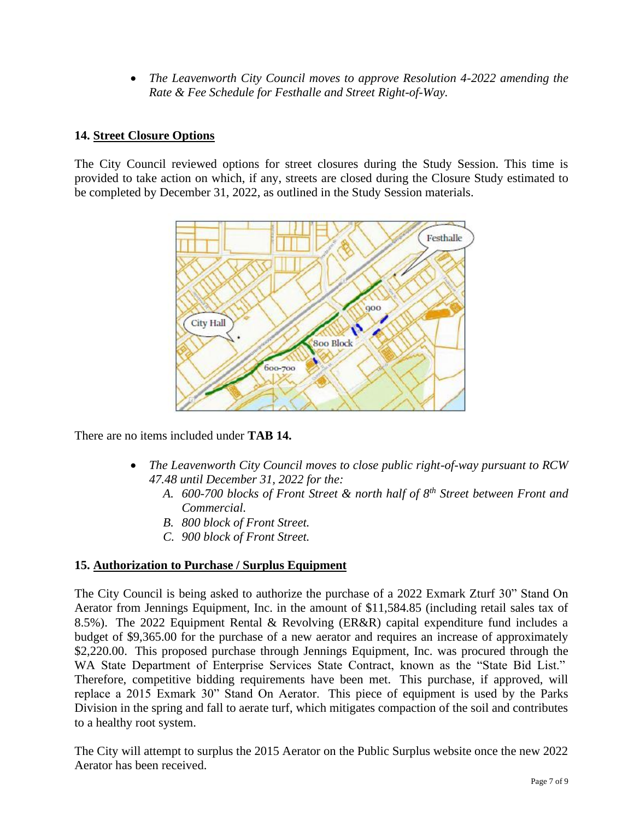• *The Leavenworth City Council moves to approve Resolution 4-2022 amending the Rate & Fee Schedule for Festhalle and Street Right-of-Way.*

# **14. Street Closure Options**

The City Council reviewed options for street closures during the Study Session. This time is provided to take action on which, if any, streets are closed during the Closure Study estimated to be completed by December 31, 2022, as outlined in the Study Session materials.



There are no items included under **TAB 14.** 

- *The Leavenworth City Council moves to close public right-of-way pursuant to RCW 47.48 until December 31, 2022 for the:*
	- *A. 600-700 blocks of Front Street & north half of 8th Street between Front and Commercial.*
	- *B. 800 block of Front Street.*
	- *C. 900 block of Front Street.*

# **15. Authorization to Purchase / Surplus Equipment**

The City Council is being asked to authorize the purchase of a 2022 Exmark Zturf 30" Stand On Aerator from Jennings Equipment, Inc. in the amount of \$11,584.85 (including retail sales tax of 8.5%). The 2022 Equipment Rental & Revolving (ER&R) capital expenditure fund includes a budget of \$9,365.00 for the purchase of a new aerator and requires an increase of approximately \$2,220.00. This proposed purchase through Jennings Equipment, Inc. was procured through the WA State Department of Enterprise Services State Contract, known as the "State Bid List." Therefore, competitive bidding requirements have been met. This purchase, if approved, will replace a 2015 Exmark 30" Stand On Aerator. This piece of equipment is used by the Parks Division in the spring and fall to aerate turf, which mitigates compaction of the soil and contributes to a healthy root system.

The City will attempt to surplus the 2015 Aerator on the Public Surplus website once the new 2022 Aerator has been received.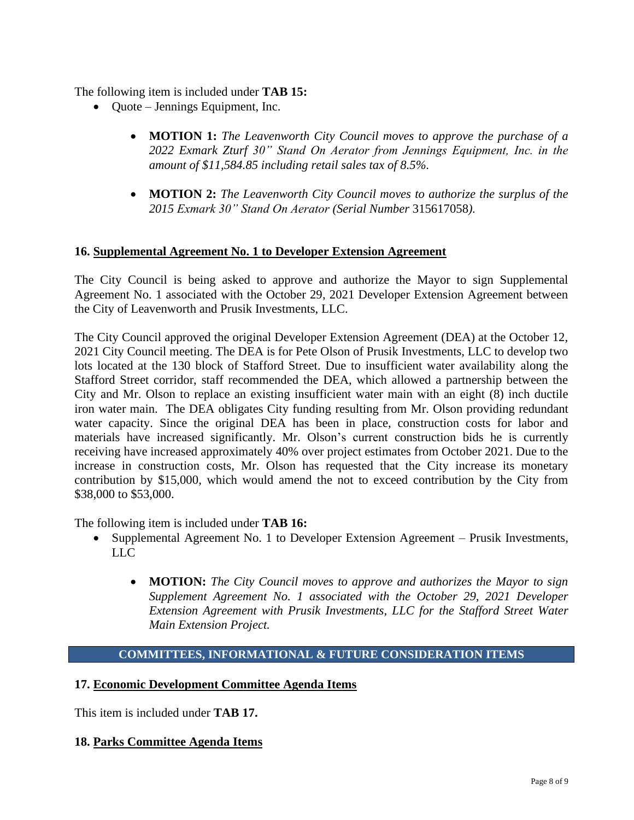The following item is included under **TAB 15:**

- Quote Jennings Equipment, Inc.
	- **MOTION 1:** *The Leavenworth City Council moves to approve the purchase of a 2022 Exmark Zturf 30" Stand On Aerator from Jennings Equipment, Inc. in the amount of \$11,584.85 including retail sales tax of 8.5%.*
	- **MOTION 2:** *The Leavenworth City Council moves to authorize the surplus of the 2015 Exmark 30" Stand On Aerator (Serial Number* 315617058*).*

### **16. Supplemental Agreement No. 1 to Developer Extension Agreement**

The City Council is being asked to approve and authorize the Mayor to sign Supplemental Agreement No. 1 associated with the October 29, 2021 Developer Extension Agreement between the City of Leavenworth and Prusik Investments, LLC.

The City Council approved the original Developer Extension Agreement (DEA) at the October 12, 2021 City Council meeting. The DEA is for Pete Olson of Prusik Investments, LLC to develop two lots located at the 130 block of Stafford Street. Due to insufficient water availability along the Stafford Street corridor, staff recommended the DEA, which allowed a partnership between the City and Mr. Olson to replace an existing insufficient water main with an eight (8) inch ductile iron water main. The DEA obligates City funding resulting from Mr. Olson providing redundant water capacity. Since the original DEA has been in place, construction costs for labor and materials have increased significantly. Mr. Olson's current construction bids he is currently receiving have increased approximately 40% over project estimates from October 2021. Due to the increase in construction costs, Mr. Olson has requested that the City increase its monetary contribution by \$15,000, which would amend the not to exceed contribution by the City from \$38,000 to \$53,000.

The following item is included under **TAB 16:**

- Supplemental Agreement No. 1 to Developer Extension Agreement Prusik Investments, LLC
	- **MOTION:** *The City Council moves to approve and authorizes the Mayor to sign Supplement Agreement No. 1 associated with the October 29, 2021 Developer Extension Agreement with Prusik Investments, LLC for the Stafford Street Water Main Extension Project.*

#### **COMMITTEES, INFORMATIONAL & FUTURE CONSIDERATION ITEMS**

#### **17. Economic Development Committee Agenda Items**

This item is included under **TAB 17.**

#### **18. Parks Committee Agenda Items**